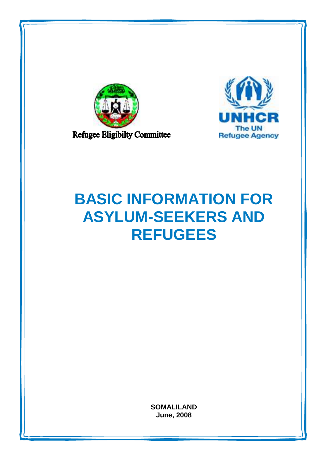



# **BASIC INFORMATION FOR ASYLUM-SEEKERS AND REFUGEES**

**SOMALILAND June, 2008**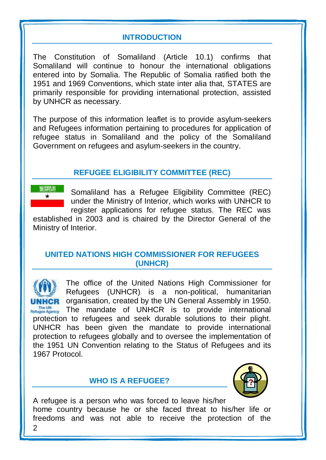# **INTRODUCTION**

The Constitution of Somaliland (Article 10.1) confirms that Somaliland will continue to honour the international obligations entered into by Somalia. The Republic of Somalia ratified both the 1951 and 1969 Conventions, which state inter alia that, STATES are primarily responsible for providing international protection, assisted by UNHCR as necessary.

The purpose of this information leaflet is to provide asylum-seekers and Refugees information pertaining to procedures for application of refugee status in Somaliland and the policy of the Somaliland Government on refugees and asylum-seekers in the country.

# **REFUGEE ELIGIBILITY COMMITTEE (REC)**

Somaliland has a Refugee Eligibility Committee (REC) under the Ministry of Interior, which works with UNHCR to register applications for refugee status. The REC was

established in 2003 and is chaired by the Director General of the Ministry of Interior.

## **UNITED NATIONS HIGH COMMISSIONER FOR REFUGEES (UNHCR)**

The office of the United Nations High Commissioner for Refugees (UNHCR) is a non-political, humanitarian **CR** organisation, created by the UN General Assembly in 1950. The mandate of UNHCR is to provide international protection to refugees and seek durable solutions to their plight. UNHCR has been given the mandate to provide international protection to refugees globally and to oversee the implementation of the 1951 UN Convention relating to the Status of Refugees and its 1967 Protocol.

# **WHO IS A REFUGEE?**



 $\mathfrak{p}$ A refugee is a person who was forced to leave his/her home country because he or she faced threat to his/her life or freedoms and was not able to receive the protection of the

海岸消费  $\star$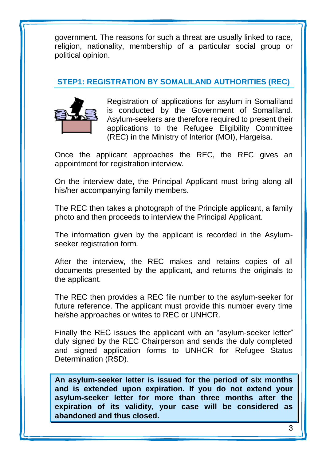government. The reasons for such a threat are usually linked to race, religion, nationality, membership of a particular social group or political opinion.

# **STEP1: REGISTRATION BY SOMALILAND AUTHORITIES (REC)**



Registration of applications for asylum in Somaliland is conducted by the Government of Somaliland. Asylum-seekers are therefore required to present their applications to the Refugee Eligibility Committee (REC) in the Ministry of Interior (MOI), Hargeisa.

Once the applicant approaches the REC, the REC gives an appointment for registration interview.

On the interview date, the Principal Applicant must bring along all his/her accompanying family members.

The REC then takes a photograph of the Principle applicant, a family photo and then proceeds to interview the Principal Applicant.

The information given by the applicant is recorded in the Asylumseeker registration form.

After the interview, the REC makes and retains copies of all documents presented by the applicant, and returns the originals to the applicant.

The REC then provides a REC file number to the asylum-seeker for future reference. The applicant must provide this number every time he/she approaches or writes to REC or UNHCR.

Finally the REC issues the applicant with an "asylum-seeker letter" duly signed by the REC Chairperson and sends the duly completed and signed application forms to UNHCR for Refugee Status Determination (RSD).

**An asylum-seeker letter is issued for the period of six months and is extended upon expiration. If you do not extend your asylum-seeker letter for more than three months after the expiration of its validity, your case will be considered as abandoned and thus closed.**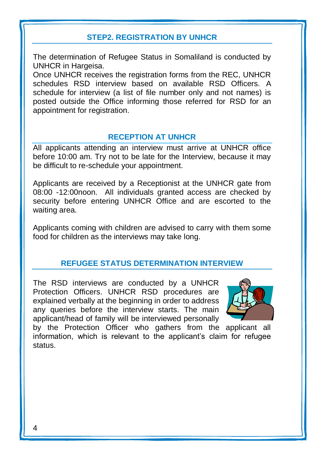# **STEP2. REGISTRATION BY UNHCR**

The determination of Refugee Status in Somaliland is conducted by UNHCR in Hargeisa.

Once UNHCR receives the registration forms from the REC, UNHCR schedules RSD interview based on available RSD Officers. A schedule for interview (a list of file number only and not names) is posted outside the Office informing those referred for RSD for an appointment for registration.

## **RECEPTION AT UNHCR**

All applicants attending an interview must arrive at UNHCR office before 10:00 am. Try not to be late for the Interview, because it may be difficult to re-schedule your appointment.

Applicants are received by a Receptionist at the UNHCR gate from 08:00 -12:00noon. All individuals granted access are checked by security before entering UNHCR Office and are escorted to the waiting area.

Applicants coming with children are advised to carry with them some food for children as the interviews may take long.

# **REFUGEE STATUS DETERMINATION INTERVIEW**

The RSD interviews are conducted by a UNHCR Protection Officers. UNHCR RSD procedures are explained verbally at the beginning in order to address any queries before the interview starts. The main applicant/head of family will be interviewed personally



by the Protection Officer who gathers from the applicant all information, which is relevant to the applicant's claim for refugee status.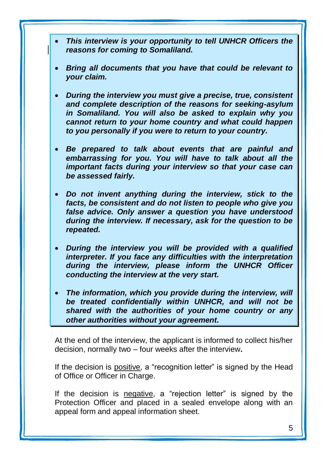- *This interview is your opportunity to tell UNHCR Officers the reasons for coming to Somaliland.*
- *Bring all documents that you have that could be relevant to your claim.*
- *During the interview you must give a precise, true, consistent and complete description of the reasons for seeking-asylum in Somaliland. You will also be asked to explain why you cannot return to your home country and what could happen to you personally if you were to return to your country.*
- *Be prepared to talk about events that are painful and embarrassing for you. You will have to talk about all the important facts during your interview so that your case can be assessed fairly.*
- *Do not invent anything during the interview, stick to the facts, be consistent and do not listen to people who give you false advice. Only answer a question you have understood during the interview. If necessary, ask for the question to be repeated.*
- *During the interview you will be provided with a qualified interpreter. If you face any difficulties with the interpretation during the interview, please inform the UNHCR Officer conducting the interview at the very start.*
- *The information, which you provide during the interview, will be treated confidentially within UNHCR, and will not be shared with the authorities of your home country or any other authorities without your agreement.*

At the end of the interview, the applicant is informed to collect his/her decision, normally two – four weeks after the interview**.**

If the decision is positive, a "recognition letter" is signed by the Head of Office or Officer in Charge.

If the decision is negative, a "rejection letter" is signed by the Protection Officer and placed in a sealed envelope along with an appeal form and appeal information sheet.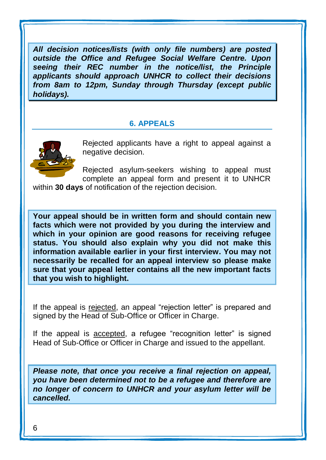*All decision notices/lists (with only file numbers) are posted outside the Office and Refugee Social Welfare Centre. Upon seeing their REC number in the notice/list, the Principle applicants should approach UNHCR to collect their decisions from 8am to 12pm, Sunday through Thursday (except public holidays).* 

#### **6. APPEALS**



Rejected applicants have a right to appeal against a negative decision.

Rejected asylum-seekers wishing to appeal must complete an appeal form and present it to UNHCR

within **30 days** of notification of the rejection decision.

**Your appeal should be in written form and should contain new facts which were not provided by you during the interview and which in your opinion are good reasons for receiving refugee status. You should also explain why you did not make this information available earlier in your first interview. You may not necessarily be recalled for an appeal interview so please make sure that your appeal letter contains all the new important facts that you wish to highlight.** 

If the appeal is rejected, an appeal "rejection letter" is prepared and signed by the Head of Sub-Office or Officer in Charge.

If the appeal is accepted, a refugee "recognition letter" is signed Head of Sub-Office or Officer in Charge and issued to the appellant.

*Please note, that once you receive a final rejection on appeal, you have been determined not to be a refugee and therefore are no longer of concern to UNHCR and your asylum letter will be cancelled.*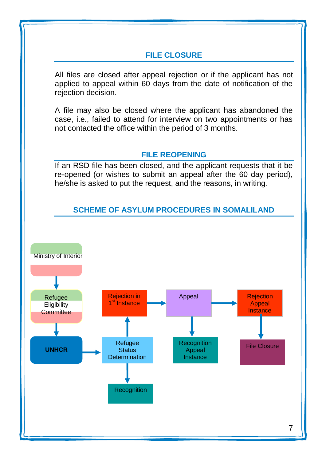# **FILE CLOSURE**

All files are closed after appeal rejection or if the applicant has not applied to appeal within 60 days from the date of notification of the rejection decision.

A file may also be closed where the applicant has abandoned the case, i.e., failed to attend for interview on two appointments or has not contacted the office within the period of 3 months.

#### **FILE REOPENING**

If an RSD file has been closed, and the applicant requests that it be re-opened (or wishes to submit an appeal after the 60 day period), he/she is asked to put the request, and the reasons, in writing.

## **SCHEME OF ASYLUM PROCEDURES IN SOMALILAND**

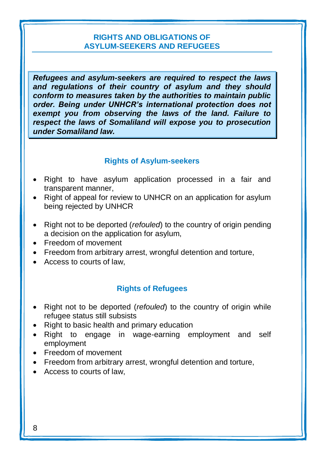#### **RIGHTS AND OBLIGATIONS OF ASYLUM-SEEKERS AND REFUGEES**

*Refugees and asylum-seekers are required to respect the laws and regulations of their country of asylum and they should conform to measures taken by the authorities to maintain public order. Being under UNHCR's international protection does not exempt you from observing the laws of the land. Failure to respect the laws of Somaliland will expose you to prosecution under Somaliland law.*

#### **Rights of Asylum-seekers**

- Right to have asylum application processed in a fair and transparent manner,
- Right of appeal for review to UNHCR on an application for asylum being rejected by UNHCR
- Right not to be deported (*refouled*) to the country of origin pending a decision on the application for asylum,
- **Freedom of movement**
- Freedom from arbitrary arrest, wrongful detention and torture,
- Access to courts of law.

#### **Rights of Refugees**

- Right not to be deported (*refouled*) to the country of origin while refugee status still subsists
- Right to basic health and primary education
- Right to engage in wage-earning employment and self employment
- **Freedom of movement**
- Freedom from arbitrary arrest, wrongful detention and torture,
- Access to courts of law,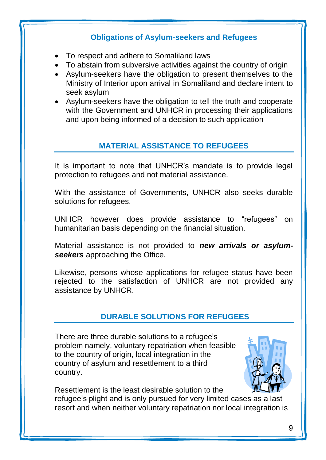# **Obligations of Asylum-seekers and Refugees**

- To respect and adhere to Somaliland laws
- To abstain from subversive activities against the country of origin
- Asylum-seekers have the obligation to present themselves to the Ministry of Interior upon arrival in Somaliland and declare intent to seek asylum
- Asylum-seekers have the obligation to tell the truth and cooperate with the Government and UNHCR in processing their applications and upon being informed of a decision to such application

# **MATERIAL ASSISTANCE TO REFUGEES**

It is important to note that UNHCR's mandate is to provide legal protection to refugees and not material assistance.

With the assistance of Governments, UNHCR also seeks durable solutions for refugees.

UNHCR however does provide assistance to "refugees" on humanitarian basis depending on the financial situation.

Material assistance is not provided to *new arrivals or asylumseekers* approaching the Office.

Likewise, persons whose applications for refugee status have been rejected to the satisfaction of UNHCR are not provided any assistance by UNHCR.

# **DURABLE SOLUTIONS FOR REFUGEES**

There are three durable solutions to a refugee's problem namely, voluntary repatriation when feasible to the country of origin, local integration in the country of asylum and resettlement to a third country.



Resettlement is the least desirable solution to the refugee's plight and is only pursued for very limited cases as a last resort and when neither voluntary repatriation nor local integration is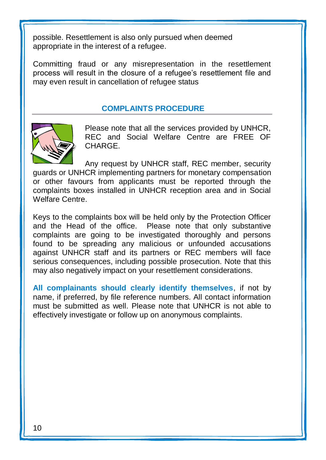possible. Resettlement is also only pursued when deemed appropriate in the interest of a refugee.

Committing fraud or any misrepresentation in the resettlement process will result in the closure of a refugee's resettlement file and may even result in cancellation of refugee status

# **COMPLAINTS PROCEDURE**



Please note that all the services provided by UNHCR, REC and Social Welfare Centre are FREE OF **CHARGE** 

Any request by UNHCR staff, REC member, security guards or UNHCR implementing partners for monetary compensation or other favours from applicants must be reported through the complaints boxes installed in UNHCR reception area and in Social Welfare Centre.

Keys to the complaints box will be held only by the Protection Officer and the Head of the office. Please note that only substantive complaints are going to be investigated thoroughly and persons found to be spreading any malicious or unfounded accusations against UNHCR staff and its partners or REC members will face serious consequences, including possible prosecution. Note that this may also negatively impact on your resettlement considerations.

**All complainants should clearly identify themselves**, if not by name, if preferred, by file reference numbers. All contact information must be submitted as well. Please note that UNHCR is not able to effectively investigate or follow up on anonymous complaints.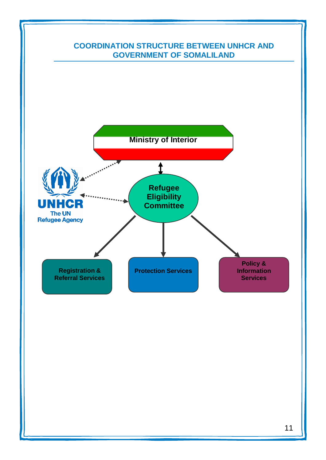